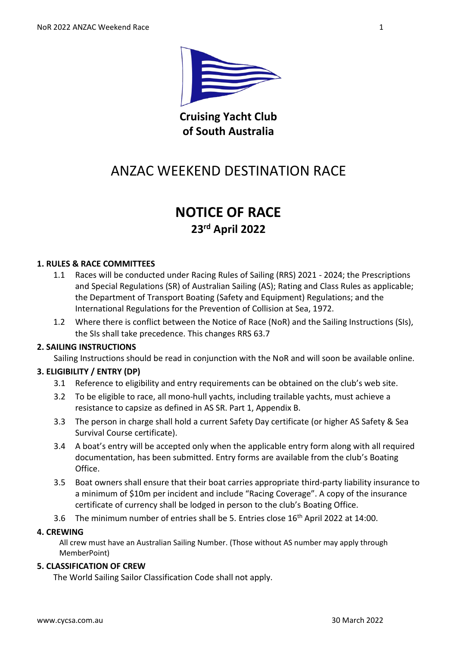

**Cruising Yacht Club of South Australia**

# ANZAC WEEKEND DESTINATION RACE

# **NOTICE OF RACE 23rd April 2022**

#### **1. RULES & RACE COMMITTEES**

- 1.1 Races will be conducted under Racing Rules of Sailing (RRS) 2021 2024; the Prescriptions and Special Regulations (SR) of Australian Sailing (AS); Rating and Class Rules as applicable; the Department of Transport Boating (Safety and Equipment) Regulations; and the International Regulations for the Prevention of Collision at Sea, 1972.
- 1.2 Where there is conflict between the Notice of Race (NoR) and the Sailing Instructions (SIs), the SIs shall take precedence. This changes RRS 63.7

#### **2. SAILING INSTRUCTIONS**

Sailing Instructions should be read in conjunction with the NoR and will soon be available online.

#### **3. ELIGIBILITY / ENTRY (DP)**

- 3.1 Reference to eligibility and entry requirements can be obtained on the club's web site.
- 3.2 To be eligible to race, all mono-hull yachts, including trailable yachts, must achieve a resistance to capsize as defined in AS SR. Part 1, Appendix B.
- 3.3 The person in charge shall hold a current Safety Day certificate (or higher AS Safety & Sea Survival Course certificate).
- 3.4 A boat's entry will be accepted only when the applicable entry form along with all required documentation, has been submitted. Entry forms are available from the club's Boating Office.
- 3.5 Boat owners shall ensure that their boat carries appropriate third-party liability insurance to a minimum of \$10m per incident and include "Racing Coverage". A copy of the insurance certificate of currency shall be lodged in person to the club's Boating Office.
- 3.6 The minimum number of entries shall be 5. Entries close 16th April 2022 at 14:00.

#### **4. CREWING**

All crew must have an Australian Sailing Number. (Those without AS number may apply through MemberPoint)

#### **5. CLASSIFICATION OF CREW**

The World Sailing Sailor Classification Code shall not apply.